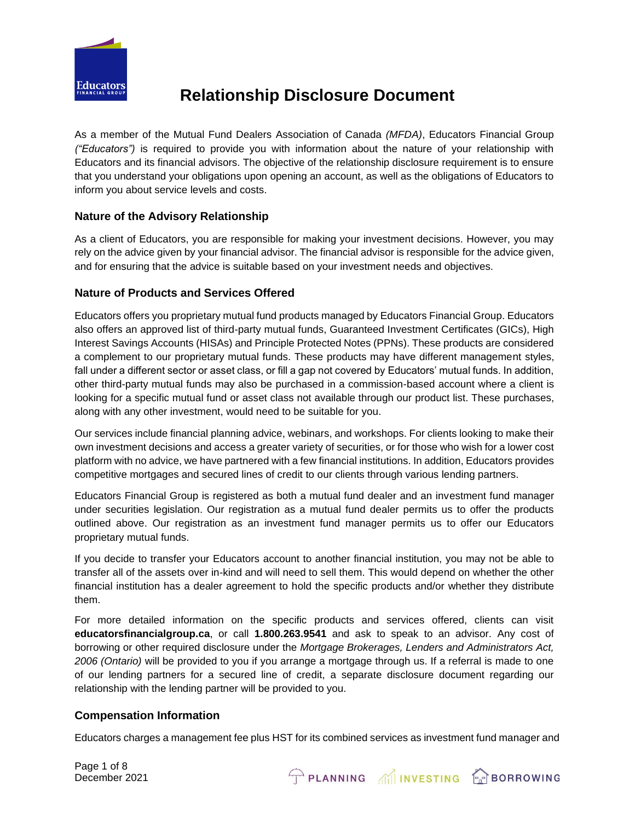

As a member of the Mutual Fund Dealers Association of Canada *(MFDA)*, Educators Financial Group *("Educators")* is required to provide you with information about the nature of your relationship with Educators and its financial advisors. The objective of the relationship disclosure requirement is to ensure that you understand your obligations upon opening an account, as well as the obligations of Educators to inform you about service levels and costs.

## **Nature of the Advisory Relationship**

As a client of Educators, you are responsible for making your investment decisions. However, you may rely on the advice given by your financial advisor. The financial advisor is responsible for the advice given, and for ensuring that the advice is suitable based on your investment needs and objectives.

## **Nature of Products and Services Offered**

Educators offers you proprietary mutual fund products managed by Educators Financial Group. Educators also offers an approved list of third-party mutual funds, Guaranteed Investment Certificates (GICs), High Interest Savings Accounts (HISAs) and Principle Protected Notes (PPNs). These products are considered a complement to our proprietary mutual funds. These products may have different management styles, fall under a different sector or asset class, or fill a gap not covered by Educators' mutual funds. In addition, other third-party mutual funds may also be purchased in a commission-based account where a client is looking for a specific mutual fund or asset class not available through our product list. These purchases, along with any other investment, would need to be suitable for you.

Our services include financial planning advice, webinars, and workshops. For clients looking to make their own investment decisions and access a greater variety of securities, or for those who wish for a lower cost platform with no advice, we have partnered with a few financial institutions. In addition, Educators provides competitive mortgages and secured lines of credit to our clients through various lending partners.

Educators Financial Group is registered as both a mutual fund dealer and an investment fund manager under securities legislation. Our registration as a mutual fund dealer permits us to offer the products outlined above. Our registration as an investment fund manager permits us to offer our Educators proprietary mutual funds.

If you decide to transfer your Educators account to another financial institution, you may not be able to transfer all of the assets over in-kind and will need to sell them. This would depend on whether the other financial institution has a dealer agreement to hold the specific products and/or whether they distribute them.

For more detailed information on the specific products and services offered, clients can visit **educatorsfinancialgroup.ca**, or call **1.800.263.9541** and ask to speak to an advisor. Any cost of borrowing or other required disclosure under the *Mortgage Brokerages, Lenders and Administrators Act, 2006 (Ontario)* will be provided to you if you arrange a mortgage through us. If a referral is made to one of our lending partners for a secured line of credit, a separate disclosure document regarding our relationship with the lending partner will be provided to you.

## **Compensation Information**

Educators charges a management fee plus HST for its combined services as investment fund manager and

PLANNING MINVESTING **PP**BORROWING

Page 1 of 8 December 2021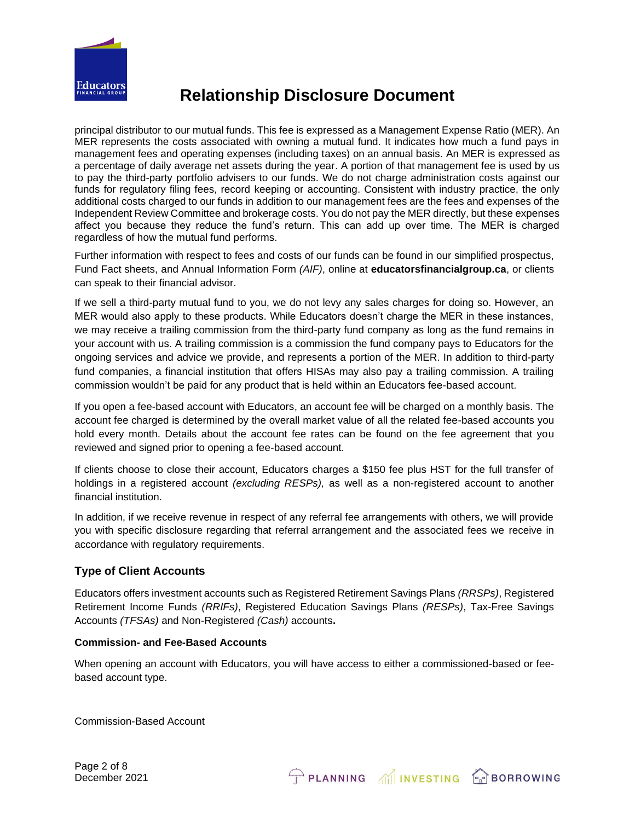

principal distributor to our mutual funds. This fee is expressed as a Management Expense Ratio (MER). An MER represents the costs associated with owning a mutual fund. It indicates how much a fund pays in management fees and operating expenses (including taxes) on an annual basis. An MER is expressed as a percentage of daily average net assets during the year. A portion of that management fee is used by us to pay the third-party portfolio advisers to our funds. We do not charge administration costs against our funds for regulatory filing fees, record keeping or accounting. Consistent with industry practice, the only additional costs charged to our funds in addition to our management fees are the fees and expenses of the Independent Review Committee and brokerage costs. You do not pay the MER directly, but these expenses affect you because they reduce the fund's return. This can add up over time. The MER is charged regardless of how the mutual fund performs.

Further information with respect to fees and costs of our funds can be found in our simplified prospectus, Fund Fact sheets, and Annual Information Form *(AIF)*, online at **educatorsfinancialgroup.ca**, or clients can speak to their financial advisor.

If we sell a third-party mutual fund to you, we do not levy any sales charges for doing so. However, an MER would also apply to these products. While Educators doesn't charge the MER in these instances, we may receive a trailing commission from the third-party fund company as long as the fund remains in your account with us. A trailing commission is a commission the fund company pays to Educators for the ongoing services and advice we provide, and represents a portion of the MER. In addition to third-party fund companies, a financial institution that offers HISAs may also pay a trailing commission. A trailing commission wouldn't be paid for any product that is held within an Educators fee-based account.

If you open a fee-based account with Educators, an account fee will be charged on a monthly basis. The account fee charged is determined by the overall market value of all the related fee-based accounts you hold every month. Details about the account fee rates can be found on the fee agreement that you reviewed and signed prior to opening a fee-based account.

If clients choose to close their account, Educators charges a \$150 fee plus HST for the full transfer of holdings in a registered account *(excluding RESPs),* as well as a non-registered account to another financial institution.

In addition, if we receive revenue in respect of any referral fee arrangements with others, we will provide you with specific disclosure regarding that referral arrangement and the associated fees we receive in accordance with regulatory requirements.

## **Type of Client Accounts**

Educators offers investment accounts such as Registered Retirement Savings Plans *(RRSPs)*, Registered Retirement Income Funds *(RRIFs)*, Registered Education Savings Plans *(RESPs)*, Tax-Free Savings Accounts *(TFSAs)* and Non-Registered *(Cash)* accounts**.**

### **Commission- and Fee-Based Accounts**

When opening an account with Educators, you will have access to either a commissioned-based or feebased account type.

PLANNING MINVESTING FREDORROWING

Commission-Based Account

Page 2 of 8 December 2021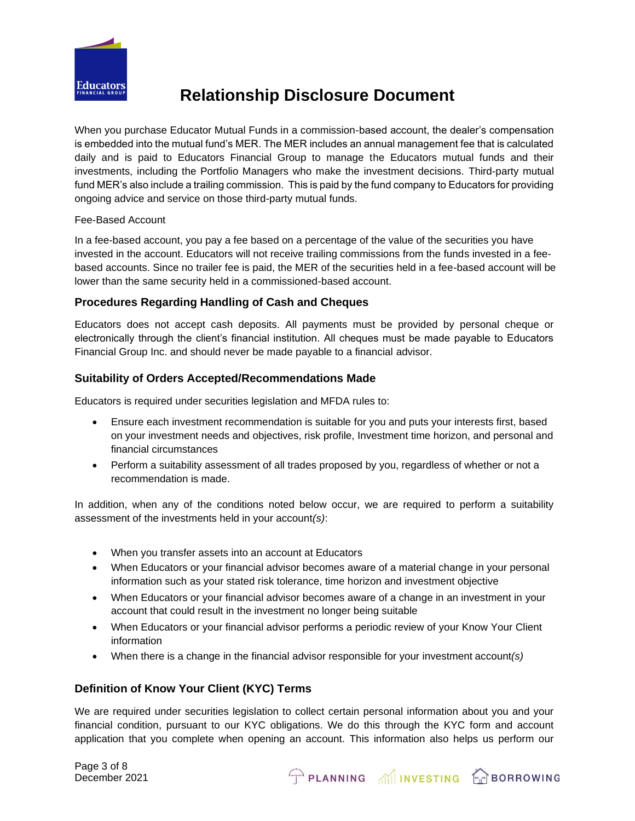

When you purchase Educator Mutual Funds in a commission-based account, the dealer's compensation is embedded into the mutual fund's MER. The MER includes an annual management fee that is calculated daily and is paid to Educators Financial Group to manage the Educators mutual funds and their investments, including the Portfolio Managers who make the investment decisions. Third-party mutual fund MER's also include a trailing commission. This is paid by the fund company to Educators for providing ongoing advice and service on those third-party mutual funds.

#### Fee-Based Account

In a fee-based account, you pay a fee based on a percentage of the value of the securities you have invested in the account. Educators will not receive trailing commissions from the funds invested in a feebased accounts. Since no trailer fee is paid, the MER of the securities held in a fee-based account will be lower than the same security held in a commissioned-based account.

## **Procedures Regarding Handling of Cash and Cheques**

Educators does not accept cash deposits. All payments must be provided by personal cheque or electronically through the client's financial institution. All cheques must be made payable to Educators Financial Group Inc. and should never be made payable to a financial advisor.

### **Suitability of Orders Accepted/Recommendations Made**

Educators is required under securities legislation and MFDA rules to:

- Ensure each investment recommendation is suitable for you and puts your interests first, based on your investment needs and objectives, risk profile, Investment time horizon, and personal and financial circumstances
- Perform a suitability assessment of all trades proposed by you, regardless of whether or not a recommendation is made.

In addition, when any of the conditions noted below occur, we are required to perform a suitability assessment of the investments held in your account*(s)*:

- When you transfer assets into an account at Educators
- When Educators or your financial advisor becomes aware of a material change in your personal information such as your stated risk tolerance, time horizon and investment objective
- When Educators or your financial advisor becomes aware of a change in an investment in your account that could result in the investment no longer being suitable
- When Educators or your financial advisor performs a periodic review of your Know Your Client information
- When there is a change in the financial advisor responsible for your investment account*(s)*

## **Definition of Know Your Client (KYC) Terms**

We are required under securities legislation to collect certain personal information about you and your financial condition, pursuant to our KYC obligations. We do this through the KYC form and account application that you complete when opening an account. This information also helps us perform our

PLANNING MINVESTING **PP**BORROWING

Page 3 of 8 December 2021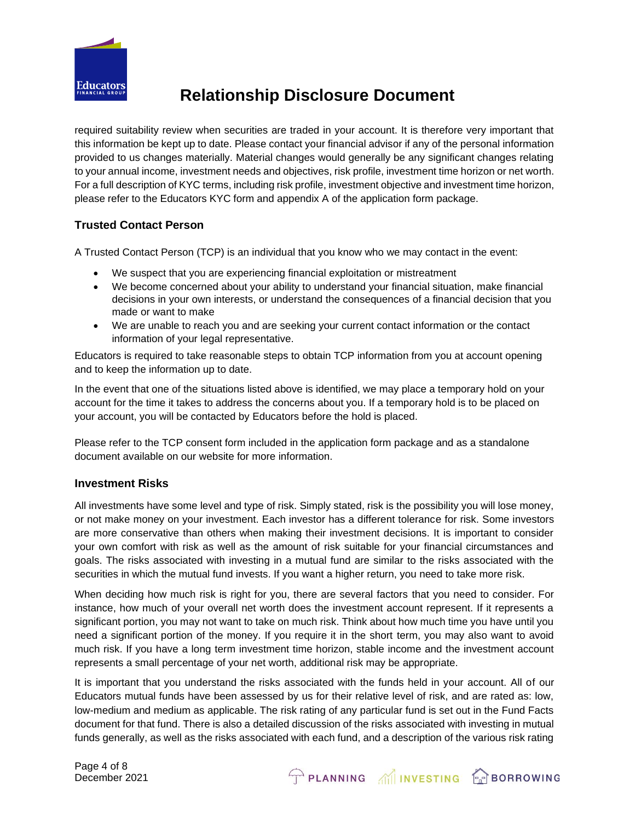

required suitability review when securities are traded in your account. It is therefore very important that this information be kept up to date. Please contact your financial advisor if any of the personal information provided to us changes materially. Material changes would generally be any significant changes relating to your annual income, investment needs and objectives, risk profile, investment time horizon or net worth. For a full description of KYC terms, including risk profile, investment objective and investment time horizon, please refer to the Educators KYC form and appendix A of the application form package.

## **Trusted Contact Person**

A Trusted Contact Person (TCP) is an individual that you know who we may contact in the event:

- We suspect that you are experiencing financial exploitation or mistreatment
- We become concerned about your ability to understand your financial situation, make financial decisions in your own interests, or understand the consequences of a financial decision that you made or want to make
- We are unable to reach you and are seeking your current contact information or the contact information of your legal representative.

Educators is required to take reasonable steps to obtain TCP information from you at account opening and to keep the information up to date.

In the event that one of the situations listed above is identified, we may place a temporary hold on your account for the time it takes to address the concerns about you. If a temporary hold is to be placed on your account, you will be contacted by Educators before the hold is placed.

Please refer to the TCP consent form included in the application form package and as a standalone document available on our website for more information.

## **Investment Risks**

All investments have some level and type of risk. Simply stated, risk is the possibility you will lose money, or not make money on your investment. Each investor has a different tolerance for risk. Some investors are more conservative than others when making their investment decisions. It is important to consider your own comfort with risk as well as the amount of risk suitable for your financial circumstances and goals. The risks associated with investing in a mutual fund are similar to the risks associated with the securities in which the mutual fund invests. If you want a higher return, you need to take more risk.

When deciding how much risk is right for you, there are several factors that you need to consider. For instance, how much of your overall net worth does the investment account represent. If it represents a significant portion, you may not want to take on much risk. Think about how much time you have until you need a significant portion of the money. If you require it in the short term, you may also want to avoid much risk. If you have a long term investment time horizon, stable income and the investment account represents a small percentage of your net worth, additional risk may be appropriate.

It is important that you understand the risks associated with the funds held in your account. All of our Educators mutual funds have been assessed by us for their relative level of risk, and are rated as: low, low-medium and medium as applicable. The risk rating of any particular fund is set out in the Fund Facts document for that fund. There is also a detailed discussion of the risks associated with investing in mutual funds generally, as well as the risks associated with each fund, and a description of the various risk rating

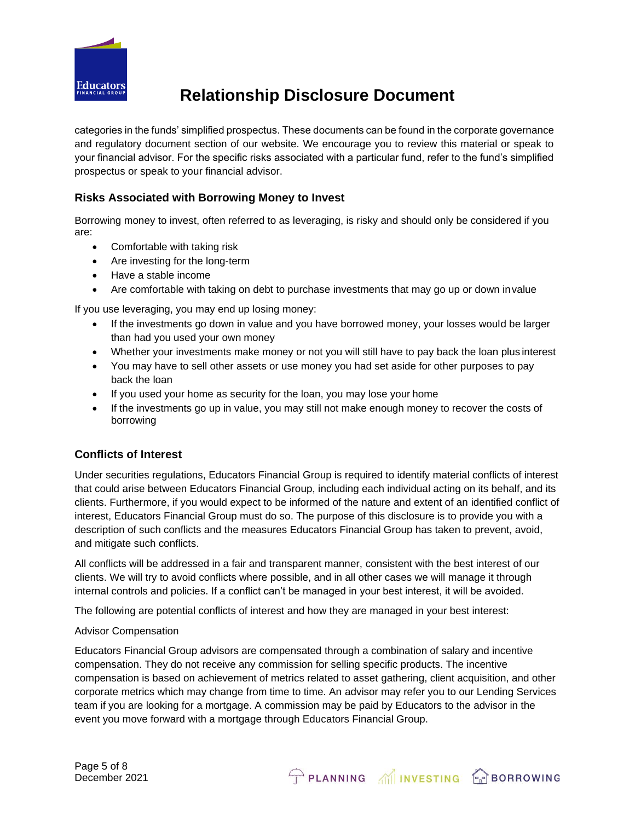

categories in the funds' simplified prospectus. These documents can be found in the corporate governance and regulatory document section of our website. We encourage you to review this material or speak to your financial advisor. For the specific risks associated with a particular fund, refer to the fund's simplified prospectus or speak to your financial advisor.

## **Risks Associated with Borrowing Money to Invest**

Borrowing money to invest, often referred to as leveraging, is risky and should only be considered if you are:

- Comfortable with taking risk
- Are investing for the long-term
- Have a stable income
- Are comfortable with taking on debt to purchase investments that may go up or down invalue

If you use leveraging, you may end up losing money:

- If the investments go down in value and you have borrowed money, your losses would be larger than had you used your own money
- Whether your investments make money or not you will still have to pay back the loan plus interest
- You may have to sell other assets or use money you had set aside for other purposes to pay back the loan
- If you used your home as security for the loan, you may lose your home
- If the investments go up in value, you may still not make enough money to recover the costs of borrowing

### **Conflicts of Interest**

Under securities regulations, Educators Financial Group is required to identify material conflicts of interest that could arise between Educators Financial Group, including each individual acting on its behalf, and its clients. Furthermore, if you would expect to be informed of the nature and extent of an identified conflict of interest, Educators Financial Group must do so. The purpose of this disclosure is to provide you with a description of such conflicts and the measures Educators Financial Group has taken to prevent, avoid, and mitigate such conflicts.

All conflicts will be addressed in a fair and transparent manner, consistent with the best interest of our clients. We will try to avoid conflicts where possible, and in all other cases we will manage it through internal controls and policies. If a conflict can't be managed in your best interest, it will be avoided.

The following are potential conflicts of interest and how they are managed in your best interest:

#### Advisor Compensation

Educators Financial Group advisors are compensated through a combination of salary and incentive compensation. They do not receive any commission for selling specific products. The incentive compensation is based on achievement of metrics related to asset gathering, client acquisition, and other corporate metrics which may change from time to time. An advisor may refer you to our Lending Services team if you are looking for a mortgage. A commission may be paid by Educators to the advisor in the event you move forward with a mortgage through Educators Financial Group.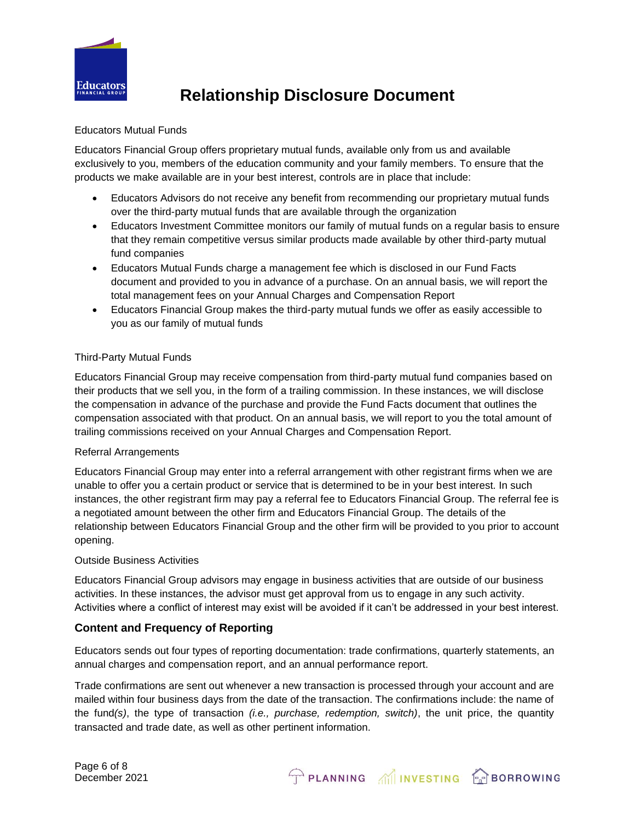

### Educators Mutual Funds

Educators Financial Group offers proprietary mutual funds, available only from us and available exclusively to you, members of the education community and your family members. To ensure that the products we make available are in your best interest, controls are in place that include:

- Educators Advisors do not receive any benefit from recommending our proprietary mutual funds over the third-party mutual funds that are available through the organization
- Educators Investment Committee monitors our family of mutual funds on a regular basis to ensure that they remain competitive versus similar products made available by other third-party mutual fund companies
- Educators Mutual Funds charge a management fee which is disclosed in our Fund Facts document and provided to you in advance of a purchase. On an annual basis, we will report the total management fees on your Annual Charges and Compensation Report
- Educators Financial Group makes the third-party mutual funds we offer as easily accessible to you as our family of mutual funds

### Third-Party Mutual Funds

Educators Financial Group may receive compensation from third-party mutual fund companies based on their products that we sell you, in the form of a trailing commission. In these instances, we will disclose the compensation in advance of the purchase and provide the Fund Facts document that outlines the compensation associated with that product. On an annual basis, we will report to you the total amount of trailing commissions received on your Annual Charges and Compensation Report.

### Referral Arrangements

Educators Financial Group may enter into a referral arrangement with other registrant firms when we are unable to offer you a certain product or service that is determined to be in your best interest. In such instances, the other registrant firm may pay a referral fee to Educators Financial Group. The referral fee is a negotiated amount between the other firm and Educators Financial Group. The details of the relationship between Educators Financial Group and the other firm will be provided to you prior to account opening.

#### Outside Business Activities

Educators Financial Group advisors may engage in business activities that are outside of our business activities. In these instances, the advisor must get approval from us to engage in any such activity. Activities where a conflict of interest may exist will be avoided if it can't be addressed in your best interest.

## **Content and Frequency of Reporting**

Educators sends out four types of reporting documentation: trade confirmations, quarterly statements, an annual charges and compensation report, and an annual performance report.

Trade confirmations are sent out whenever a new transaction is processed through your account and are mailed within four business days from the date of the transaction. The confirmations include: the name of the fund*(s)*, the type of transaction *(i.e., purchase, redemption, switch)*, the unit price, the quantity transacted and trade date, as well as other pertinent information.

PLANNING MINVESTING **PRIBORROWING**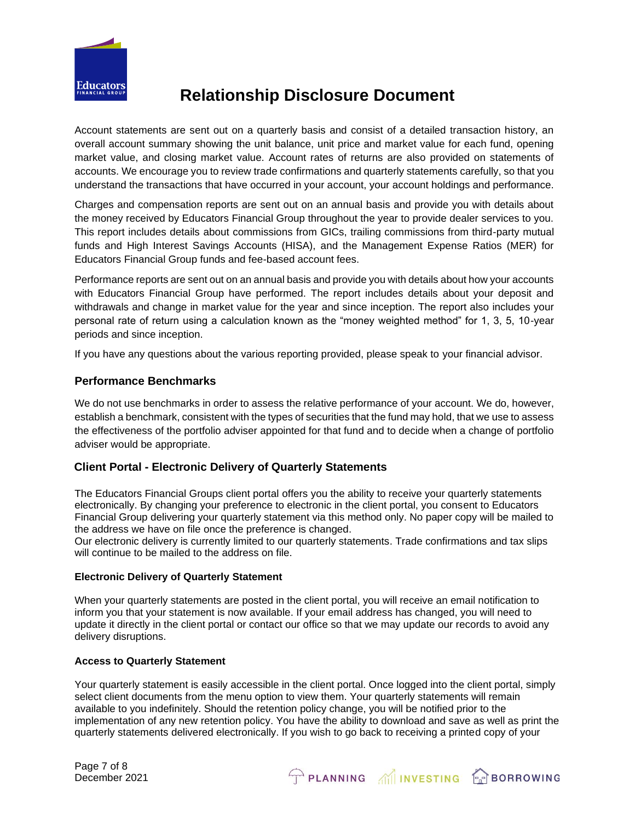

Account statements are sent out on a quarterly basis and consist of a detailed transaction history, an overall account summary showing the unit balance, unit price and market value for each fund, opening market value, and closing market value. Account rates of returns are also provided on statements of accounts. We encourage you to review trade confirmations and quarterly statements carefully, so that you understand the transactions that have occurred in your account, your account holdings and performance.

Charges and compensation reports are sent out on an annual basis and provide you with details about the money received by Educators Financial Group throughout the year to provide dealer services to you. This report includes details about commissions from GICs, trailing commissions from third-party mutual funds and High Interest Savings Accounts (HISA), and the Management Expense Ratios (MER) for Educators Financial Group funds and fee-based account fees.

Performance reports are sent out on an annual basis and provide you with details about how your accounts with Educators Financial Group have performed. The report includes details about your deposit and withdrawals and change in market value for the year and since inception. The report also includes your personal rate of return using a calculation known as the "money weighted method" for 1, 3, 5, 10-year periods and since inception.

If you have any questions about the various reporting provided, please speak to your financial advisor.

### **Performance Benchmarks**

We do not use benchmarks in order to assess the relative performance of your account. We do, however, establish a benchmark, consistent with the types of securities that the fund may hold, that we use to assess the effectiveness of the portfolio adviser appointed for that fund and to decide when a change of portfolio adviser would be appropriate.

## **Client Portal - Electronic Delivery of Quarterly Statements**

The Educators Financial Groups client portal offers you the ability to receive your quarterly statements electronically. By changing your preference to electronic in the client portal, you consent to Educators Financial Group delivering your quarterly statement via this method only. No paper copy will be mailed to the address we have on file once the preference is changed.

Our electronic delivery is currently limited to our quarterly statements. Trade confirmations and tax slips will continue to be mailed to the address on file.

#### **Electronic Delivery of Quarterly Statement**

When your quarterly statements are posted in the client portal, you will receive an email notification to inform you that your statement is now available. If your email address has changed, you will need to update it directly in the client portal or contact our office so that we may update our records to avoid any delivery disruptions.

#### **Access to Quarterly Statement**

Your quarterly statement is easily accessible in the client portal. Once logged into the client portal, simply select client documents from the menu option to view them. Your quarterly statements will remain available to you indefinitely. Should the retention policy change, you will be notified prior to the implementation of any new retention policy. You have the ability to download and save as well as print the quarterly statements delivered electronically. If you wish to go back to receiving a printed copy of your